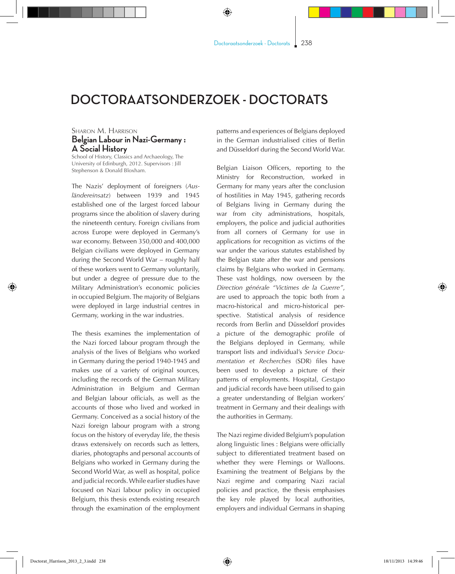## **DOCTORAATSONDERZOEK - DOCTORATS**

## Sharon M. Harrison **Belgian Labour in Nazi-Germany : A Social History**

School of History, Classics and Archaeology, The University of Edinburgh, 2012. Supervisors : Jill Stephenson & Donald Bloxham.

The Nazis' deployment of foreigners (*Ausländereinsatz*) between 1939 and 1945 established one of the largest forced labour programs since the abolition of slavery during the nineteenth century. Foreign civilians from across Europe were deployed in Germany's war economy. Between 350,000 and 400,000 Belgian civilians were deployed in Germany during the Second World War – roughly half of these workers went to Germany voluntarily, but under a degree of pressure due to the Military Administration's economic policies in occupied Belgium. The majority of Belgians were deployed in large industrial centres in Germany, working in the war industries.

The thesis examines the implementation of the Nazi forced labour program through the analysis of the lives of Belgians who worked in Germany during the period 1940-1945 and makes use of a variety of original sources, including the records of the German Military Administration in Belgium and German and Belgian labour officials, as well as the accounts of those who lived and worked in Germany. Conceived as a social history of the Nazi foreign labour program with a strong focus on the history of everyday life, the thesis draws extensively on records such as letters, diaries, photographs and personal accounts of Belgians who worked in Germany during the Second World War, as well as hospital, police and judicial records. While earlier studies have focused on Nazi labour policy in occupied Belgium, this thesis extends existing research through the examination of the employment patterns and experiences of Belgians deployed in the German industrialised cities of Berlin and Düsseldorf during the Second World War.

Belgian Liaison Officers, reporting to the Ministry for Reconstruction, worked in Germany for many years after the conclusion of hostilities in May 1945, gathering records of Belgians living in Germany during the war from city administrations, hospitals, employers, the police and judicial authorities from all corners of Germany for use in applications for recognition as victims of the war under the various statutes established by the Belgian state after the war and pensions claims by Belgians who worked in Germany. These vast holdings, now overseen by the *Direction générale "Victimes de la Guerre"*, are used to approach the topic both from a macro-historical and micro-historical perspective. Statistical analysis of residence records from Berlin and Düsseldorf provides a picture of the demographic profile of the Belgians deployed in Germany, while transport lists and individual's *Service Documentation et Recherches* (SDR) files have been used to develop a picture of their patterns of employments. Hospital, *Gestapo* and judicial records have been utilised to gain a greater understanding of Belgian workers' treatment in Germany and their dealings with the authorities in Germany.

The Nazi regime divided Belgium's population along linguistic lines : Belgians were officially subject to differentiated treatment based on whether they were Flemings or Walloons. Examining the treatment of Belgians by the Nazi regime and comparing Nazi racial policies and practice, the thesis emphasises the key role played by local authorities, employers and individual Germans in shaping

◈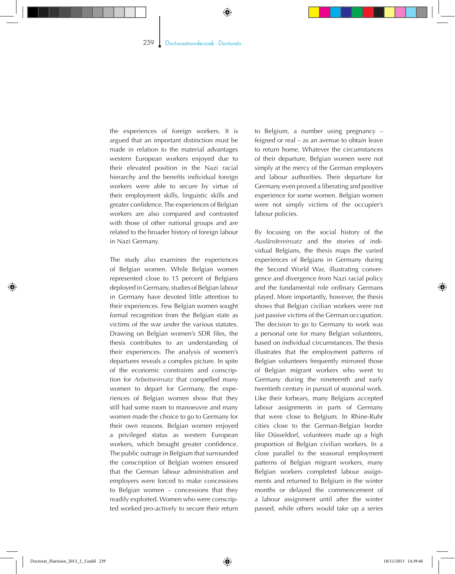## 239 Doctoraatsonderzoek - Doctorats

the experiences of foreign workers. It is argued that an important distinction must be made in relation to the material advantages western European workers enjoyed due to their elevated position in the Nazi racial hierarchy and the benefits individual foreign workers were able to secure by virtue of their employment skills, linguistic skills and greater confidence. The experiences of Belgian workers are also compared and contrasted with those of other national groups and are related to the broader history of foreign labour in Nazi Germany.

The study also examines the experiences of Belgian women. While Belgian women represented close to 15 percent of Belgians deployed in Germany, studies of Belgian labour in Germany have devoted little attention to their experiences. Few Belgian women sought formal recognition from the Belgian state as victims of the war under the various statutes. Drawing on Belgian women's SDR files, the thesis contributes to an understanding of their experiences. The analysis of women's departures reveals a complex picture. In spite of the economic constraints and conscription for *Arbeitseinsatz* that compelled many women to depart for Germany, the experiences of Belgian women show that they still had some room to manoeuvre and many women made the choice to go to Germany for their own reasons. Belgian women enjoyed a privileged status as western European workers, which brought greater confidence. The public outrage in Belgium that surrounded the conscription of Belgian women ensured that the German labour administration and employers were forced to make concessions to Belgian women – concessions that they readily exploited. Women who were conscripted worked pro-actively to secure their return to Belgium, a number using pregnancy – feigned or real – as an avenue to obtain leave to return home. Whatever the circumstances of their departure, Belgian women were not simply at the mercy of the German employers and labour authorities. Their departure for Germany even proved a liberating and positive experience for some women. Belgian women were not simply victims of the occupier's labour policies.

By focusing on the social history of the *Ausländereinsatz* and the stories of individual Belgians, the thesis maps the varied experiences of Belgians in Germany during the Second World War, illustrating convergence and divergence from Nazi racial policy and the fundamental role ordinary Germans played. More importantly, however, the thesis shows that Belgian civilian workers were not just passive victims of the German occupation. The decision to go to Germany to work was a personal one for many Belgian volunteers, based on individual circumstances. The thesis illustrates that the employment patterns of Belgian volunteers frequently mirrored those of Belgian migrant workers who went to Germany during the nineteenth and early twentieth century in pursuit of seasonal work. Like their forbears, many Belgians accepted labour assignments in parts of Germany that were close to Belgium. In Rhine-Ruhr cities close to the German-Belgian border like Düsseldorf, volunteers made up a high proportion of Belgian civilian workers. In a close parallel to the seasonal employment patterns of Belgian migrant workers, many Belgian workers completed labour assignments and returned to Belgium in the winter months or delayed the commencement of a labour assignment until after the winter passed, while others would take up a series

◈